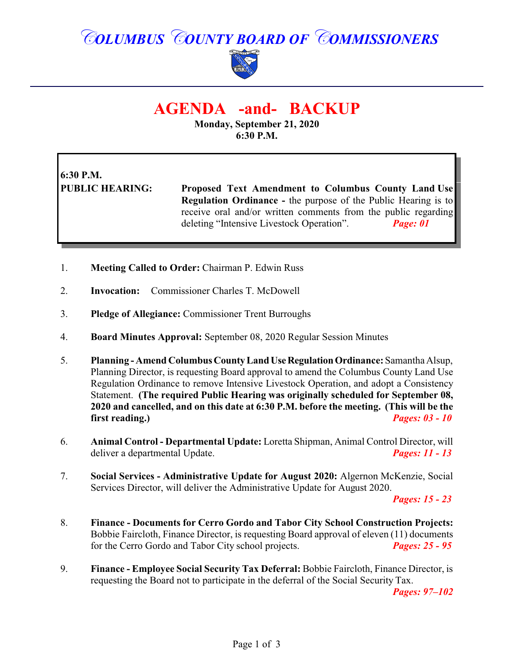# *COLUMBUS COUNTY BOARD OF COMMISSIONERS*



## **AGENDA -and- BACKUP**

**Monday, September 21, 2020 6:30 P.M.**

# **6:30 P.M.**

**PUBLIC HEARING: Proposed Text Amendment to Columbus County Land Use Regulation Ordinance -** the purpose of the Public Hearing is to receive oral and/or written comments from the public regarding deleting "Intensive Livestock Operation". *Page: 01*

- 1. **Meeting Called to Order:** Chairman P. Edwin Russ
- 2. **Invocation:** Commissioner Charles T. McDowell
- 3. **Pledge of Allegiance:** Commissioner Trent Burroughs
- 4. **Board Minutes Approval:** September 08, 2020 Regular Session Minutes
- 5. **Planning Amend ColumbusCountyLandUseRegulationOrdinance:** Samantha Alsup, Planning Director, is requesting Board approval to amend the Columbus County Land Use Regulation Ordinance to remove Intensive Livestock Operation, and adopt a Consistency Statement. **(The required Public Hearing was originally scheduled for September 08, 2020 and cancelled, and on this date at 6:30 P.M. before the meeting. (This will be the first reading.)** *Pages: 03 - 10*
- 6. **Animal Control Departmental Update:** Loretta Shipman, Animal Control Director, will deliver a departmental Update. *Pages: 11 - 13*
- 7. **Social Services - Administrative Update for August 2020:** Algernon McKenzie, Social Services Director, will deliver the Administrative Update for August 2020.

*Pages: 15 - 23*

- 8. **Finance Documents for Cerro Gordo and Tabor City School Construction Projects:** Bobbie Faircloth, Finance Director, is requesting Board approval of eleven (11) documents for the Cerro Gordo and Tabor City school projects. *Pages: 25 - 95*
- 9. **Finance Employee Social Security Tax Deferral:** Bobbie Faircloth, Finance Director, is requesting the Board not to participate in the deferral of the Social Security Tax.

*Pages: 97–102*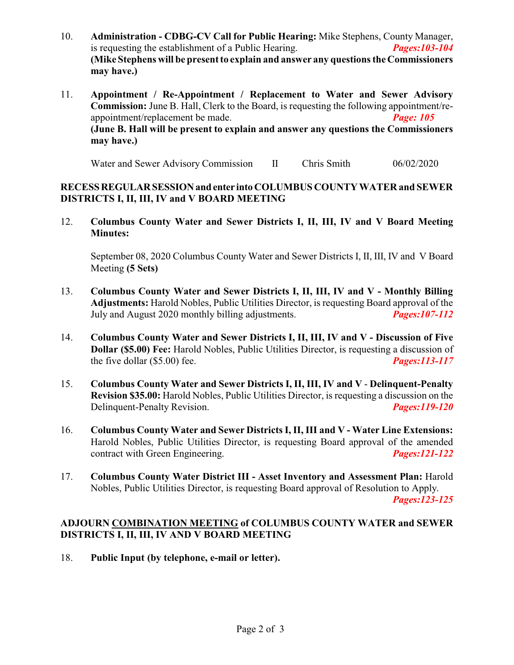- 10. **Administration CDBG-CV Call for Public Hearing:** Mike Stephens, County Manager, is requesting the establishment of a Public Hearing. *Pages:103-104* **(Mike Stephens will be present to explain and answer any questions the Commissioners may have.)**
- 11. **Appointment / Re-Appointment / Replacement to Water and Sewer Advisory Commission:** June B. Hall, Clerk to the Board, is requesting the following appointment/reappointment/replacement be made. *Page: 105* **(June B. Hall will be present to explain and answer any questions the Commissioners may have.)**

Water and Sewer Advisory Commission II Chris Smith 06/02/2020

#### **RECESSREGULARSESSIONand enter into COLUMBUS COUNTY WATER and SEWER DISTRICTS I, II, III, IV and V BOARD MEETING**

12. **Columbus County Water and Sewer Districts I, II, III, IV and V Board Meeting Minutes:**

September 08, 2020 Columbus County Water and Sewer Districts I, II, III, IV and V Board Meeting **(5 Sets)**

- 13. **Columbus County Water and Sewer Districts I, II, III, IV and V Monthly Billing Adjustments:** Harold Nobles, Public Utilities Director, is requesting Board approval of the July and August 2020 monthly billing adjustments. *Pages:107-112*
- 14. **Columbus County Water and Sewer Districts I, II, III, IV and V Discussion of Five Dollar (\$5.00) Fee:** Harold Nobles, Public Utilities Director, is requesting a discussion of the five dollar (\$5.00) fee. *Pages:113-117*
- 15. **Columbus County Water and Sewer Districts I, II, III, IV and V Delinquent-Penalty Revision \$35.00:** Harold Nobles, Public Utilities Director, is requesting a discussion on the Delinquent-Penalty Revision. *Pages:119-120*
- 16. **Columbus County Water and Sewer Districts I, II, III and V Water Line Extensions:** Harold Nobles, Public Utilities Director, is requesting Board approval of the amended contract with Green Engineering. *Pages:121-122*
- 17. **Columbus County Water District III Asset Inventory and Assessment Plan:** Harold Nobles, Public Utilities Director, is requesting Board approval of Resolution to Apply.

*Pages:123-125*

#### **ADJOURN COMBINATION MEETING of COLUMBUS COUNTY WATER and SEWER DISTRICTS I, II, III, IV AND V BOARD MEETING**

18. **Public Input (by telephone, e-mail or letter).**